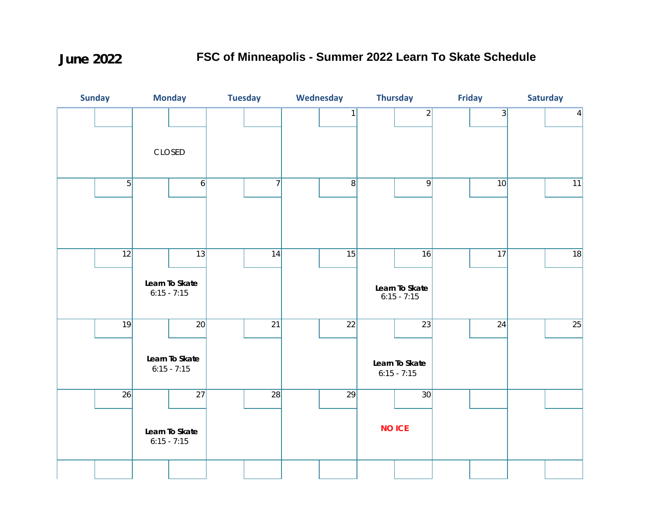**June 2022**

## **FSC of Minneapolis - Summer 2022 Learn To Skate Schedule**

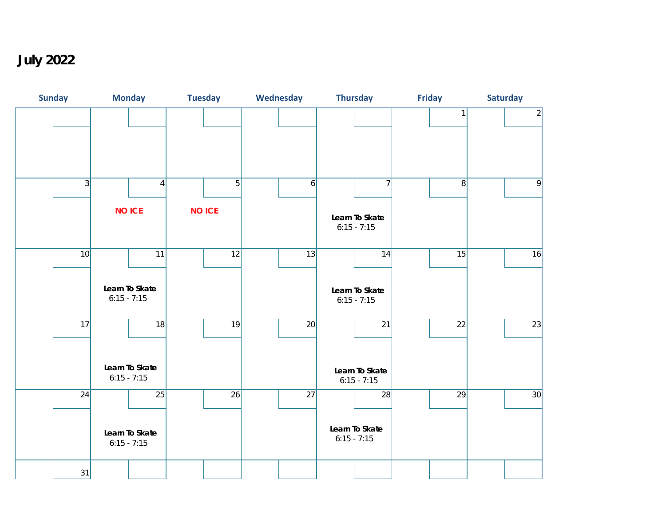**July 2022**